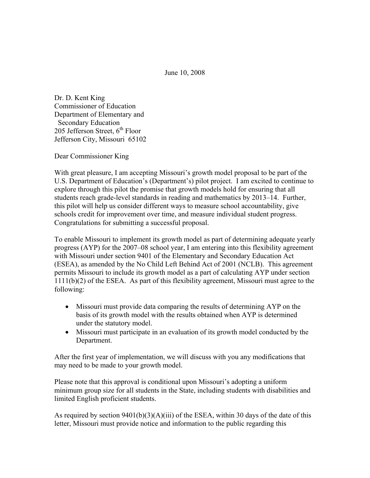June 10, 2008

Dr. D. Kent King Commissioner of Education Department of Elementary and Secondary Education 205 Jefferson Street,  $6<sup>th</sup>$  Floor Jefferson City, Missouri 65102

Dear Commissioner King

With great pleasure, I am accepting Missouri's growth model proposal to be part of the U.S. Department of Education's (Department's) pilot project. I am excited to continue to explore through this pilot the promise that growth models hold for ensuring that all students reach grade-level standards in reading and mathematics by 2013–14. Further, this pilot will help us consider different ways to measure school accountability, give schools credit for improvement over time, and measure individual student progress. Congratulations for submitting a successful proposal.

To enable Missouri to implement its growth model as part of determining adequate yearly progress (AYP) for the 2007–08 school year, I am entering into this flexibility agreement with Missouri under section 9401 of the Elementary and Secondary Education Act (ESEA), as amended by the No Child Left Behind Act of 2001 (NCLB). This agreement permits Missouri to include its growth model as a part of calculating AYP under section 1111(b)(2) of the ESEA. As part of this flexibility agreement, Missouri must agree to the following:

- Missouri must provide data comparing the results of determining AYP on the basis of its growth model with the results obtained when AYP is determined under the statutory model.
- Missouri must participate in an evaluation of its growth model conducted by the Department.

After the first year of implementation, we will discuss with you any modifications that may need to be made to your growth model.

Please note that this approval is conditional upon Missouri's adopting a uniform minimum group size for all students in the State, including students with disabilities and limited English proficient students.

As required by section  $9401(b)(3)(A)(iii)$  of the ESEA, within 30 days of the date of this letter, Missouri must provide notice and information to the public regarding this